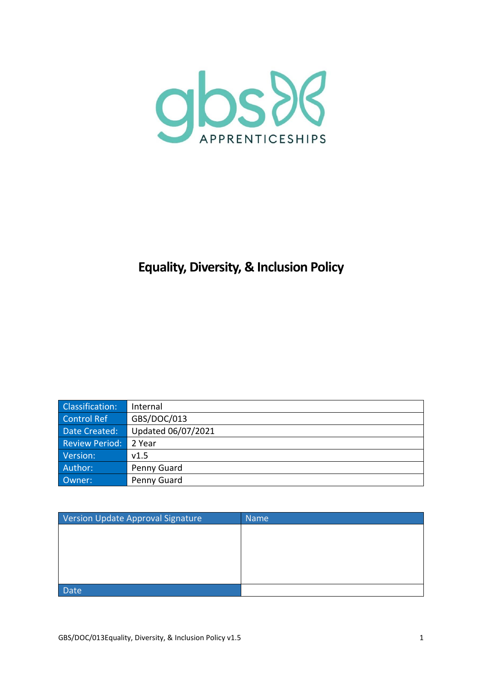

# **Equality, Diversity, & Inclusion Policy**

| Classification:       | Internal           |
|-----------------------|--------------------|
| Control Ref           | GBS/DOC/013        |
| Date Created:         | Updated 06/07/2021 |
| <b>Review Period:</b> | 2 Year             |
| Version:              | v1.5               |
| Author:               | Penny Guard        |
| Owner:                | Penny Guard        |

| Version Update Approval Signature | <b>Name</b> |
|-----------------------------------|-------------|
|                                   |             |
|                                   |             |
|                                   |             |
|                                   |             |
|                                   |             |
| <b>Date</b>                       |             |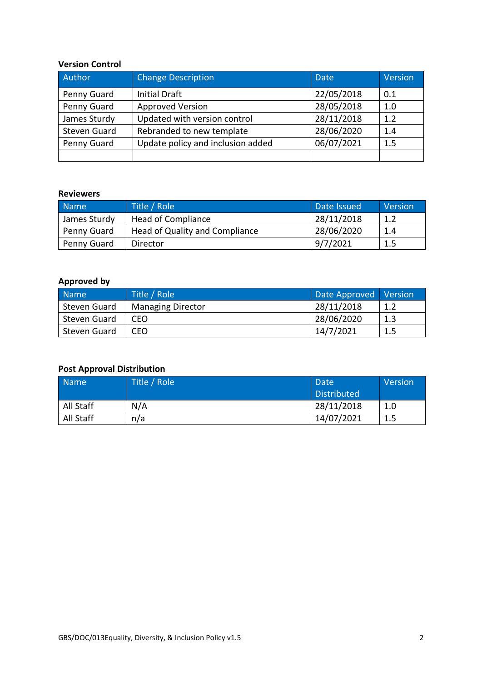#### **Version Control**

| Author              | <b>Change Description</b>         | <b>Date</b> | Version |
|---------------------|-----------------------------------|-------------|---------|
| Penny Guard         | Initial Draft                     | 22/05/2018  | 0.1     |
| Penny Guard         | <b>Approved Version</b>           | 28/05/2018  | 1.0     |
| James Sturdy        | Updated with version control      | 28/11/2018  | 1.2     |
| <b>Steven Guard</b> | Rebranded to new template         | 28/06/2020  | 1.4     |
| Penny Guard         | Update policy and inclusion added | 06/07/2021  | 1.5     |
|                     |                                   |             |         |

#### **Reviewers**

| Name         | Title / Role                   | Date Issued | Version |
|--------------|--------------------------------|-------------|---------|
| James Sturdy | <b>Head of Compliance</b>      | 28/11/2018  | 1.2     |
| Penny Guard  | Head of Quality and Compliance | 28/06/2020  | 1.4     |
| Penny Guard  | Director                       | 9/7/2021    | 1.5     |

# **Approved by**

| Name <sup>1</sup> | Title / Role             | Date Approved Version |     |
|-------------------|--------------------------|-----------------------|-----|
| Steven Guard      | <b>Managing Director</b> | 28/11/2018            | 1.2 |
| Steven Guard      | CEO                      | 28/06/2020            | 1.3 |
| Steven Guard      | CEO                      | 14/7/2021             | 1.5 |

# **Post Approval Distribution**

| <b>Name</b> | Title / Role | Date               | Version |
|-------------|--------------|--------------------|---------|
|             |              | <b>Distributed</b> |         |
| All Staff   | N/A          | 28/11/2018         | 1.0     |
| All Staff   | n/a          | 14/07/2021         | 1.5     |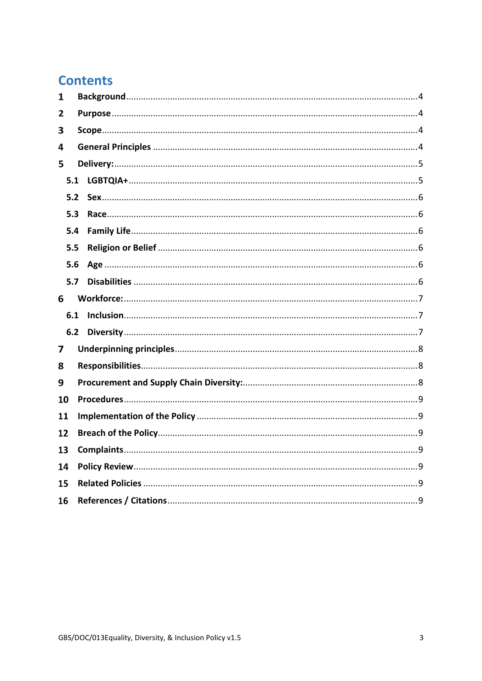# **Contents**

| 1  |     |  |  |  |
|----|-----|--|--|--|
| 2  |     |  |  |  |
| 3  |     |  |  |  |
| 4  |     |  |  |  |
| 5  |     |  |  |  |
|    | 5.1 |  |  |  |
|    | 5.2 |  |  |  |
|    | 5.3 |  |  |  |
|    | 5.4 |  |  |  |
|    | 5.5 |  |  |  |
|    | 5.6 |  |  |  |
|    | 5.7 |  |  |  |
| 6  |     |  |  |  |
|    | 6.1 |  |  |  |
|    | 6.2 |  |  |  |
| 7  |     |  |  |  |
| 8  |     |  |  |  |
| 9  |     |  |  |  |
| 10 |     |  |  |  |
| 11 |     |  |  |  |
| 12 |     |  |  |  |
| 13 |     |  |  |  |
| 14 |     |  |  |  |
| 15 |     |  |  |  |
| 16 |     |  |  |  |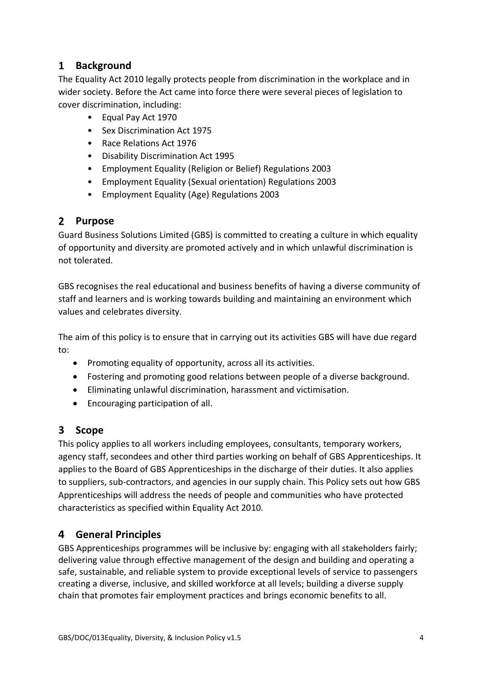# <span id="page-3-0"></span>**Background**

The Equality Act 2010 legally protects people from discrimination in the workplace and in wider society. Before the Act came into force there were several pieces of legislation to cover discrimination, including:

- Equal Pay Act 1970
- Sex Discrimination Act 1975
- Race Relations Act 1976
- Disability Discrimination Act 1995
- Employment Equality (Religion or Belief) Regulations 2003
- Employment Equality (Sexual orientation) Regulations 2003
- Employment Equality (Age) Regulations 2003

### <span id="page-3-1"></span>**Purpose**

Guard Business Solutions Limited (GBS) is committed to creating a culture in which equality of opportunity and diversity are promoted actively and in which unlawful discrimination is not tolerated.

GBS recognises the real educational and business benefits of having a diverse community of staff and learners and is working towards building and maintaining an environment which values and celebrates diversity.

The aim of this policy is to ensure that in carrying out its activities GBS will have due regard to:

- Promoting equality of opportunity, across all its activities.
- Fostering and promoting good relations between people of a diverse background.
- Eliminating unlawful discrimination, harassment and victimisation.
- Encouraging participation of all.

# <span id="page-3-2"></span>**Scope**

This policy applies to all workers including employees, consultants, temporary workers, agency staff, secondees and other third parties working on behalf of GBS Apprenticeships. It applies to the Board of GBS Apprenticeships in the discharge of their duties. It also applies to suppliers, sub-contractors, and agencies in our supply chain. This Policy sets out how GBS Apprenticeships will address the needs of people and communities who have protected characteristics as specified within Equality Act 2010.

# <span id="page-3-3"></span>**General Principles**

GBS Apprenticeships programmes will be inclusive by: engaging with all stakeholders fairly; delivering value through effective management of the design and building and operating a safe, sustainable, and reliable system to provide exceptional levels of service to passengers creating a diverse, inclusive, and skilled workforce at all levels; building a diverse supply chain that promotes fair employment practices and brings economic benefits to all.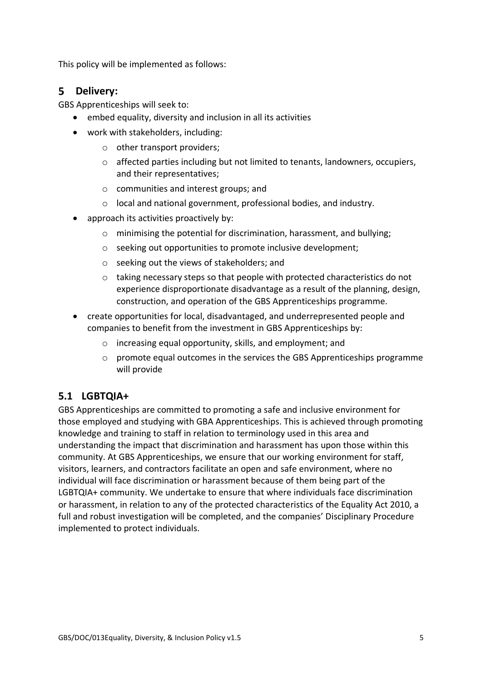This policy will be implemented as follows:

## <span id="page-4-0"></span>**Delivery:**

GBS Apprenticeships will seek to:

- embed equality, diversity and inclusion in all its activities
- work with stakeholders, including:
	- o other transport providers;
	- o affected parties including but not limited to tenants, landowners, occupiers, and their representatives;
	- o communities and interest groups; and
	- o local and national government, professional bodies, and industry.
- approach its activities proactively by:
	- o minimising the potential for discrimination, harassment, and bullying;
	- o seeking out opportunities to promote inclusive development;
	- o seeking out the views of stakeholders; and
	- o taking necessary steps so that people with protected characteristics do not experience disproportionate disadvantage as a result of the planning, design, construction, and operation of the GBS Apprenticeships programme.
- create opportunities for local, disadvantaged, and underrepresented people and companies to benefit from the investment in GBS Apprenticeships by:
	- o increasing equal opportunity, skills, and employment; and
	- o promote equal outcomes in the services the GBS Apprenticeships programme will provide

# <span id="page-4-1"></span>**5.1 LGBTQIA+**

GBS Apprenticeships are committed to promoting a safe and inclusive environment for those employed and studying with GBA Apprenticeships. This is achieved through promoting knowledge and training to staff in relation to terminology used in this area and understanding the impact that discrimination and harassment has upon those within this community. At GBS Apprenticeships, we ensure that our working environment for staff, visitors, learners, and contractors facilitate an open and safe environment, where no individual will face discrimination or harassment because of them being part of the LGBTQIA+ community. We undertake to ensure that where individuals face discrimination or harassment, in relation to any of the protected characteristics of the Equality Act 2010, a full and robust investigation will be completed, and the companies' Disciplinary Procedure implemented to protect individuals.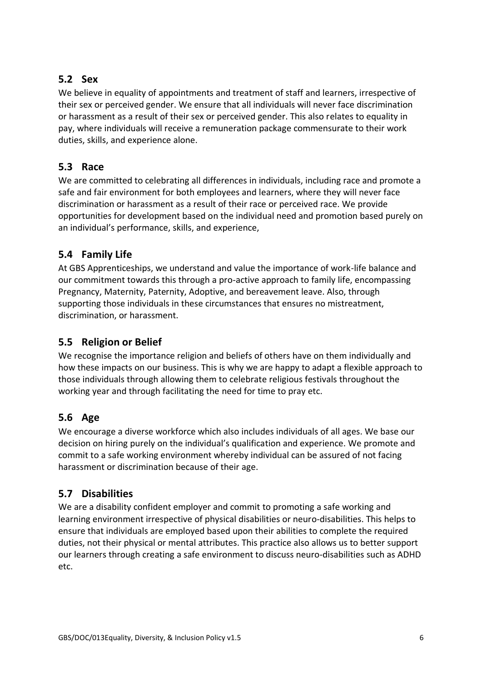# <span id="page-5-0"></span>**5.2 Sex**

We believe in equality of appointments and treatment of staff and learners, irrespective of their sex or perceived gender. We ensure that all individuals will never face discrimination or harassment as a result of their sex or perceived gender. This also relates to equality in pay, where individuals will receive a remuneration package commensurate to their work duties, skills, and experience alone.

### <span id="page-5-1"></span>**5.3 Race**

We are committed to celebrating all differences in individuals, including race and promote a safe and fair environment for both employees and learners, where they will never face discrimination or harassment as a result of their race or perceived race. We provide opportunities for development based on the individual need and promotion based purely on an individual's performance, skills, and experience,

# <span id="page-5-2"></span>**5.4 Family Life**

At GBS Apprenticeships, we understand and value the importance of work-life balance and our commitment towards this through a pro-active approach to family life, encompassing Pregnancy, Maternity, Paternity, Adoptive, and bereavement leave. Also, through supporting those individuals in these circumstances that ensures no mistreatment, discrimination, or harassment.

# <span id="page-5-3"></span>**5.5 Religion or Belief**

We recognise the importance religion and beliefs of others have on them individually and how these impacts on our business. This is why we are happy to adapt a flexible approach to those individuals through allowing them to celebrate religious festivals throughout the working year and through facilitating the need for time to pray etc.

# <span id="page-5-4"></span>**5.6 Age**

We encourage a diverse workforce which also includes individuals of all ages. We base our decision on hiring purely on the individual's qualification and experience. We promote and commit to a safe working environment whereby individual can be assured of not facing harassment or discrimination because of their age.

### <span id="page-5-5"></span>**5.7 Disabilities**

We are a disability confident employer and commit to promoting a safe working and learning environment irrespective of physical disabilities or neuro-disabilities. This helps to ensure that individuals are employed based upon their abilities to complete the required duties, not their physical or mental attributes. This practice also allows us to better support our learners through creating a safe environment to discuss neuro-disabilities such as ADHD etc.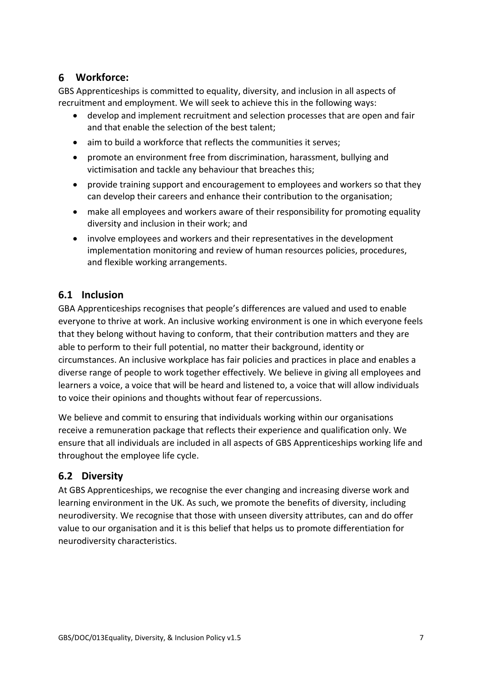# <span id="page-6-0"></span>**Workforce:**

GBS Apprenticeships is committed to equality, diversity, and inclusion in all aspects of recruitment and employment. We will seek to achieve this in the following ways:

- develop and implement recruitment and selection processes that are open and fair and that enable the selection of the best talent;
- aim to build a workforce that reflects the communities it serves;
- promote an environment free from discrimination, harassment, bullying and victimisation and tackle any behaviour that breaches this;
- provide training support and encouragement to employees and workers so that they can develop their careers and enhance their contribution to the organisation;
- make all employees and workers aware of their responsibility for promoting equality diversity and inclusion in their work; and
- involve employees and workers and their representatives in the development implementation monitoring and review of human resources policies, procedures, and flexible working arrangements.

## <span id="page-6-1"></span>**6.1 Inclusion**

GBA Apprenticeships recognises that people's differences are valued and used to enable everyone to thrive at work. An inclusive working environment is one in which everyone feels that they belong without having to conform, that their contribution matters and they are able to perform to their full potential, no matter their background, identity or circumstances. An inclusive workplace has fair policies and practices in place and enables a diverse range of people to work together effectively. We believe in giving all employees and learners a voice, a voice that will be heard and listened to, a voice that will allow individuals to voice their opinions and thoughts without fear of repercussions.

We believe and commit to ensuring that individuals working within our organisations receive a remuneration package that reflects their experience and qualification only. We ensure that all individuals are included in all aspects of GBS Apprenticeships working life and throughout the employee life cycle.

# <span id="page-6-2"></span>**6.2 Diversity**

At GBS Apprenticeships, we recognise the ever changing and increasing diverse work and learning environment in the UK. As such, we promote the benefits of diversity, including neurodiversity. We recognise that those with unseen diversity attributes, can and do offer value to our organisation and it is this belief that helps us to promote differentiation for neurodiversity characteristics.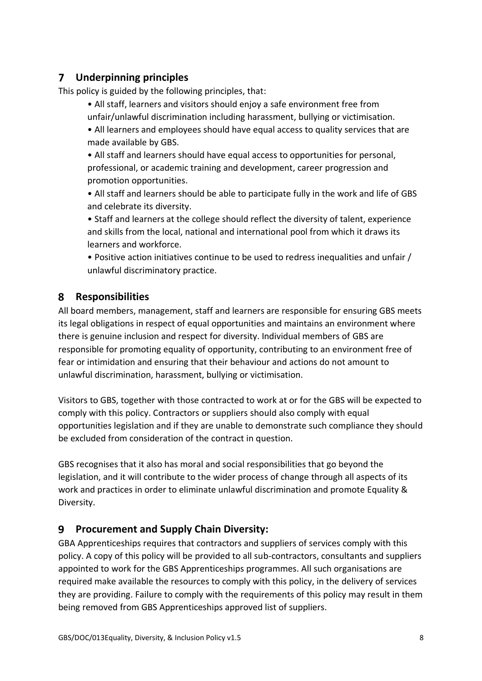#### <span id="page-7-0"></span>**Underpinning principles**   $7<sup>7</sup>$

This policy is guided by the following principles, that:

- All staff, learners and visitors should enjoy a safe environment free from unfair/unlawful discrimination including harassment, bullying or victimisation.
- All learners and employees should have equal access to quality services that are made available by GBS.
- All staff and learners should have equal access to opportunities for personal, professional, or academic training and development, career progression and promotion opportunities.

• All staff and learners should be able to participate fully in the work and life of GBS and celebrate its diversity.

• Staff and learners at the college should reflect the diversity of talent, experience and skills from the local, national and international pool from which it draws its learners and workforce.

• Positive action initiatives continue to be used to redress inequalities and unfair / unlawful discriminatory practice.

# <span id="page-7-1"></span>**Responsibilities**

All board members, management, staff and learners are responsible for ensuring GBS meets its legal obligations in respect of equal opportunities and maintains an environment where there is genuine inclusion and respect for diversity. Individual members of GBS are responsible for promoting equality of opportunity, contributing to an environment free of fear or intimidation and ensuring that their behaviour and actions do not amount to unlawful discrimination, harassment, bullying or victimisation.

Visitors to GBS, together with those contracted to work at or for the GBS will be expected to comply with this policy. Contractors or suppliers should also comply with equal opportunities legislation and if they are unable to demonstrate such compliance they should be excluded from consideration of the contract in question.

GBS recognises that it also has moral and social responsibilities that go beyond the legislation, and it will contribute to the wider process of change through all aspects of its work and practices in order to eliminate unlawful discrimination and promote Equality & Diversity.

#### <span id="page-7-2"></span>9 **Procurement and Supply Chain Diversity:**

GBA Apprenticeships requires that contractors and suppliers of services comply with this policy. A copy of this policy will be provided to all sub-contractors, consultants and suppliers appointed to work for the GBS Apprenticeships programmes. All such organisations are required make available the resources to comply with this policy, in the delivery of services they are providing. Failure to comply with the requirements of this policy may result in them being removed from GBS Apprenticeships approved list of suppliers.